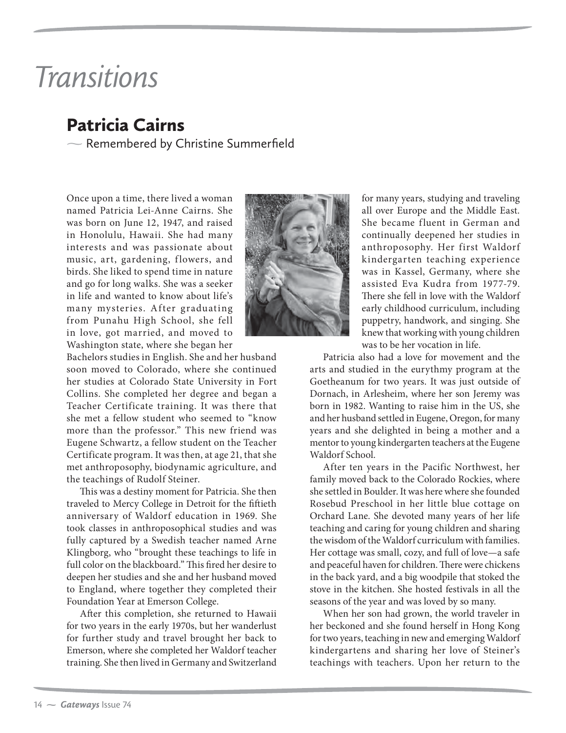## Transitions

## Patricia Cairns

 $\sim$  Remembered by Christine Summerfield

Once upon a time, there lived a woman named Patricia Lei-Anne Cairns. She was born on June 12, 1947, and raised in Honolulu, Hawaii. She had many interests and was passionate about music, art, gardening, flowers, and birds. She liked to spend time in nature and go for long walks. She was a seeker in life and wanted to know about life's many mysteries. After graduating from Punahu High School, she fell in love, got married, and moved to Washington state, where she began her



Bachelors studies in English. She and her husband soon moved to Colorado, where she continued her studies at Colorado State University in Fort Collins. She completed her degree and began a Teacher Certificate training. It was there that she met a fellow student who seemed to "know more than the professor." This new friend was Eugene Schwartz, a fellow student on the Teacher Certificate program. It was then, at age 21, that she met anthroposophy, biodynamic agriculture, and the teachings of Rudolf Steiner.

This was a destiny moment for Patricia. She then traveled to Mercy College in Detroit for the fiftieth anniversary of Waldorf education in 1969. She took classes in anthroposophical studies and was fully captured by a Swedish teacher named Arne Klingborg, who "brought these teachings to life in full color on the blackboard." This fired her desire to deepen her studies and she and her husband moved to England, where together they completed their Foundation Year at Emerson College.

After this completion, she returned to Hawaii for two years in the early 1970s, but her wanderlust for further study and travel brought her back to Emerson, where she completed her Waldorf teacher training. She then lived in Germany and Switzerland

for many years, studying and traveling all over Europe and the Middle East. She became fluent in German and continually deepened her studies in anthroposophy. Her first Waldorf kindergarten teaching experience was in Kassel, Germany, where she assisted Eva Kudra from 1977-79. There she fell in love with the Waldorf early childhood curriculum, including puppetry, handwork, and singing. She knew that working with young children was to be her vocation in life.

Patricia also had a love for movement and the arts and studied in the eurythmy program at the Goetheanum for two years. It was just outside of Dornach, in Arlesheim, where her son Jeremy was born in 1982. Wanting to raise him in the US, she and her husband settled in Eugene, Oregon, for many years and she delighted in being a mother and a mentor to young kindergarten teachers at the Eugene Waldorf School.

After ten years in the Pacific Northwest, her family moved back to the Colorado Rockies, where she settled in Boulder. It was here where she founded Rosebud Preschool in her little blue cottage on Orchard Lane. She devoted many years of her life teaching and caring for young children and sharing the wisdom of the Waldorf curriculum with families. Her cottage was small, cozy, and full of love—a safe and peaceful haven for children. There were chickens in the back yard, and a big woodpile that stoked the stove in the kitchen. She hosted festivals in all the seasons of the year and was loved by so many.

When her son had grown, the world traveler in her beckoned and she found herself in Hong Kong for two years, teaching in new and emerging Waldorf kindergartens and sharing her love of Steiner's teachings with teachers. Upon her return to the